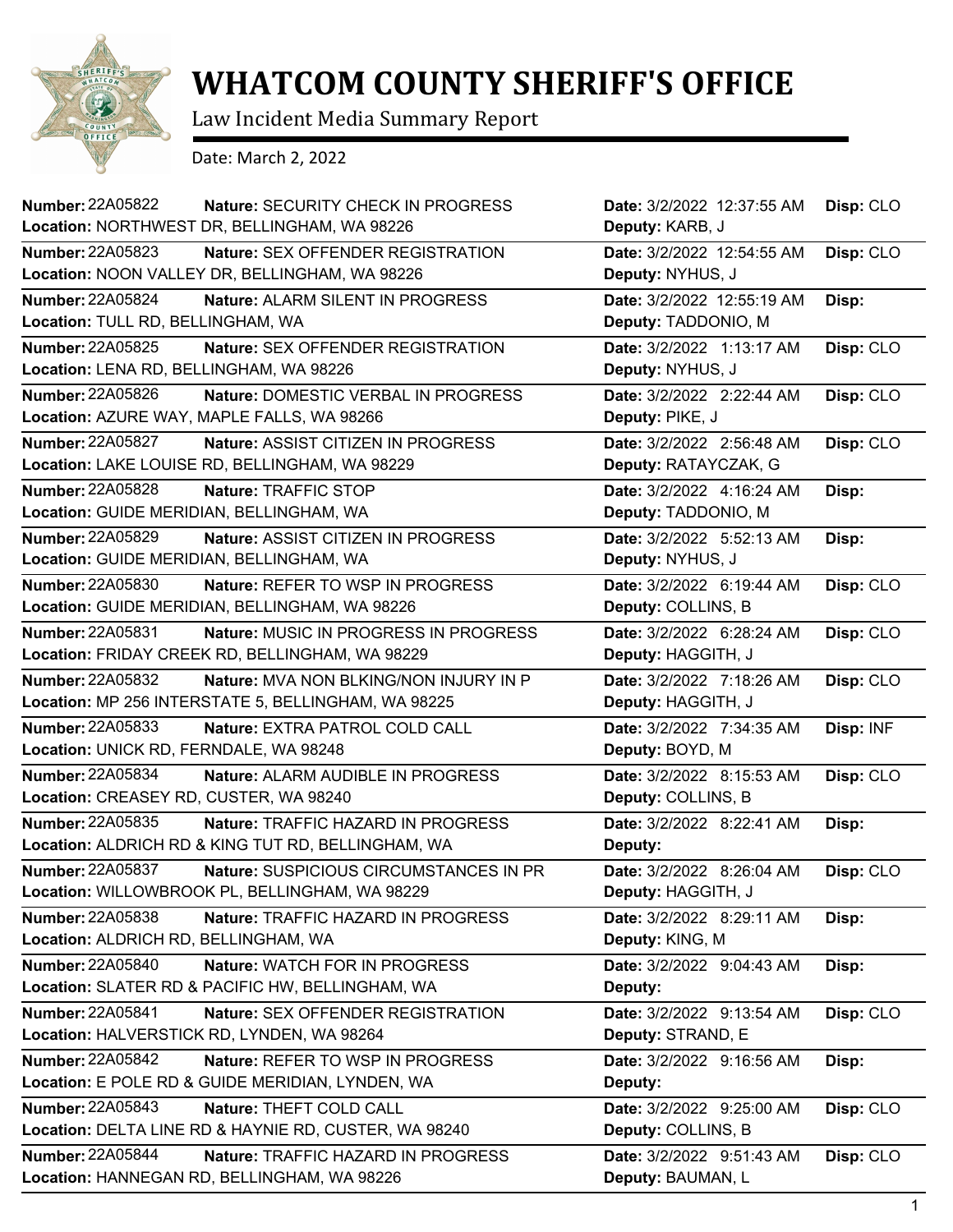

## **WHATCOM COUNTY SHERIFF'S OFFICE**

Law Incident Media Summary Report

Date: March 2, 2022

| <b>Number: 22A05822</b><br>Nature: SECURITY CHECK IN PROGRESS<br>Location: NORTHWEST DR, BELLINGHAM, WA 98226                   | Date: 3/2/2022 12:37:55 AM<br>Deputy: KARB, J     | Disp: CLO |
|---------------------------------------------------------------------------------------------------------------------------------|---------------------------------------------------|-----------|
| <b>Number: 22A05823</b><br>Nature: SEX OFFENDER REGISTRATION<br>Location: NOON VALLEY DR, BELLINGHAM, WA 98226                  | Date: 3/2/2022 12:54:55 AM<br>Deputy: NYHUS, J    | Disp: CLO |
| Number: 22A05824<br>Nature: ALARM SILENT IN PROGRESS<br>Location: TULL RD, BELLINGHAM, WA                                       | Date: 3/2/2022 12:55:19 AM<br>Deputy: TADDONIO, M | Disp:     |
| Number: 22A05825<br>Nature: SEX OFFENDER REGISTRATION<br>Location: LENA RD, BELLINGHAM, WA 98226                                | Date: 3/2/2022 1:13:17 AM<br>Deputy: NYHUS, J     | Disp: CLO |
| Number: 22A05826<br>Nature: DOMESTIC VERBAL IN PROGRESS<br>Location: AZURE WAY, MAPLE FALLS, WA 98266                           | Date: 3/2/2022 2:22:44 AM<br>Deputy: PIKE, J      | Disp: CLO |
| <b>Number: 22A05827</b><br>Nature: ASSIST CITIZEN IN PROGRESS<br>Location: LAKE LOUISE RD, BELLINGHAM, WA 98229                 | Date: 3/2/2022 2:56:48 AM<br>Deputy: RATAYCZAK, G | Disp: CLO |
| <b>Number: 22A05828</b><br>Nature: TRAFFIC STOP<br>Location: GUIDE MERIDIAN, BELLINGHAM, WA                                     | Date: 3/2/2022 4:16:24 AM<br>Deputy: TADDONIO, M  | Disp:     |
| Number: 22A05829<br>Nature: ASSIST CITIZEN IN PROGRESS<br>Location: GUIDE MERIDIAN, BELLINGHAM, WA                              | Date: 3/2/2022 5:52:13 AM<br>Deputy: NYHUS, J     | Disp:     |
| <b>Number: 22A05830</b><br>Nature: REFER TO WSP IN PROGRESS<br>Location: GUIDE MERIDIAN, BELLINGHAM, WA 98226                   | Date: 3/2/2022 6:19:44 AM<br>Deputy: COLLINS, B   | Disp: CLO |
| Number: 22A05831<br><b>Nature: MUSIC IN PROGRESS IN PROGRESS</b><br>Location: FRIDAY CREEK RD, BELLINGHAM, WA 98229             | Date: 3/2/2022 6:28:24 AM<br>Deputy: HAGGITH, J   | Disp: CLO |
| <b>Number: 22A05832</b><br><b>Nature: MVA NON BLKING/NON INJURY IN P</b><br>Location: MP 256 INTERSTATE 5, BELLINGHAM, WA 98225 | Date: 3/2/2022 7:18:26 AM<br>Deputy: HAGGITH, J   | Disp: CLO |
| <b>Number: 22A05833</b><br>Nature: EXTRA PATROL COLD CALL<br>Location: UNICK RD, FERNDALE, WA 98248                             | Date: 3/2/2022 7:34:35 AM<br>Deputy: BOYD, M      | Disp: INF |
| <b>Number: 22A05834</b><br>Nature: ALARM AUDIBLE IN PROGRESS<br>Location: CREASEY RD, CUSTER, WA 98240                          | Date: 3/2/2022 8:15:53 AM<br>Deputy: COLLINS, B   | Disp: CLO |
| Number: 22A05835<br>Nature: TRAFFIC HAZARD IN PROGRESS<br>Location: ALDRICH RD & KING TUT RD, BELLINGHAM, WA                    | Date: 3/2/2022 8:22:41 AM<br>Deputy:              | Disp:     |
| Nature: SUSPICIOUS CIRCUMSTANCES IN PR<br><b>Number: 22A05837</b><br>Location: WILLOWBROOK PL, BELLINGHAM, WA 98229             | Date: 3/2/2022 8:26:04 AM<br>Deputy: HAGGITH, J   | Disp: CLO |
| <b>Number: 22A05838</b><br>Nature: TRAFFIC HAZARD IN PROGRESS<br>Location: ALDRICH RD, BELLINGHAM, WA                           | Date: 3/2/2022 8:29:11 AM<br>Deputy: KING, M      | Disp:     |
| Number: 22A05840<br>Nature: WATCH FOR IN PROGRESS<br>Location: SLATER RD & PACIFIC HW, BELLINGHAM, WA                           | Date: 3/2/2022 9:04:43 AM<br>Deputy:              | Disp:     |
| Number: 22A05841<br>Nature: SEX OFFENDER REGISTRATION<br>Location: HALVERSTICK RD, LYNDEN, WA 98264                             | Date: 3/2/2022 9:13:54 AM<br>Deputy: STRAND, E    | Disp: CLO |
| <b>Number: 22A05842</b><br>Nature: REFER TO WSP IN PROGRESS<br>Location: E POLE RD & GUIDE MERIDIAN, LYNDEN, WA                 | Date: 3/2/2022 9:16:56 AM<br>Deputy:              | Disp:     |
| Number: 22A05843<br>Nature: THEFT COLD CALL<br>Location: DELTA LINE RD & HAYNIE RD, CUSTER, WA 98240                            | Date: 3/2/2022 9:25:00 AM<br>Deputy: COLLINS, B   | Disp: CLO |
| <b>Number: 22A05844</b><br>Nature: TRAFFIC HAZARD IN PROGRESS<br>Location: HANNEGAN RD, BELLINGHAM, WA 98226                    | Date: 3/2/2022 9:51:43 AM<br>Deputy: BAUMAN, L    | Disp: CLO |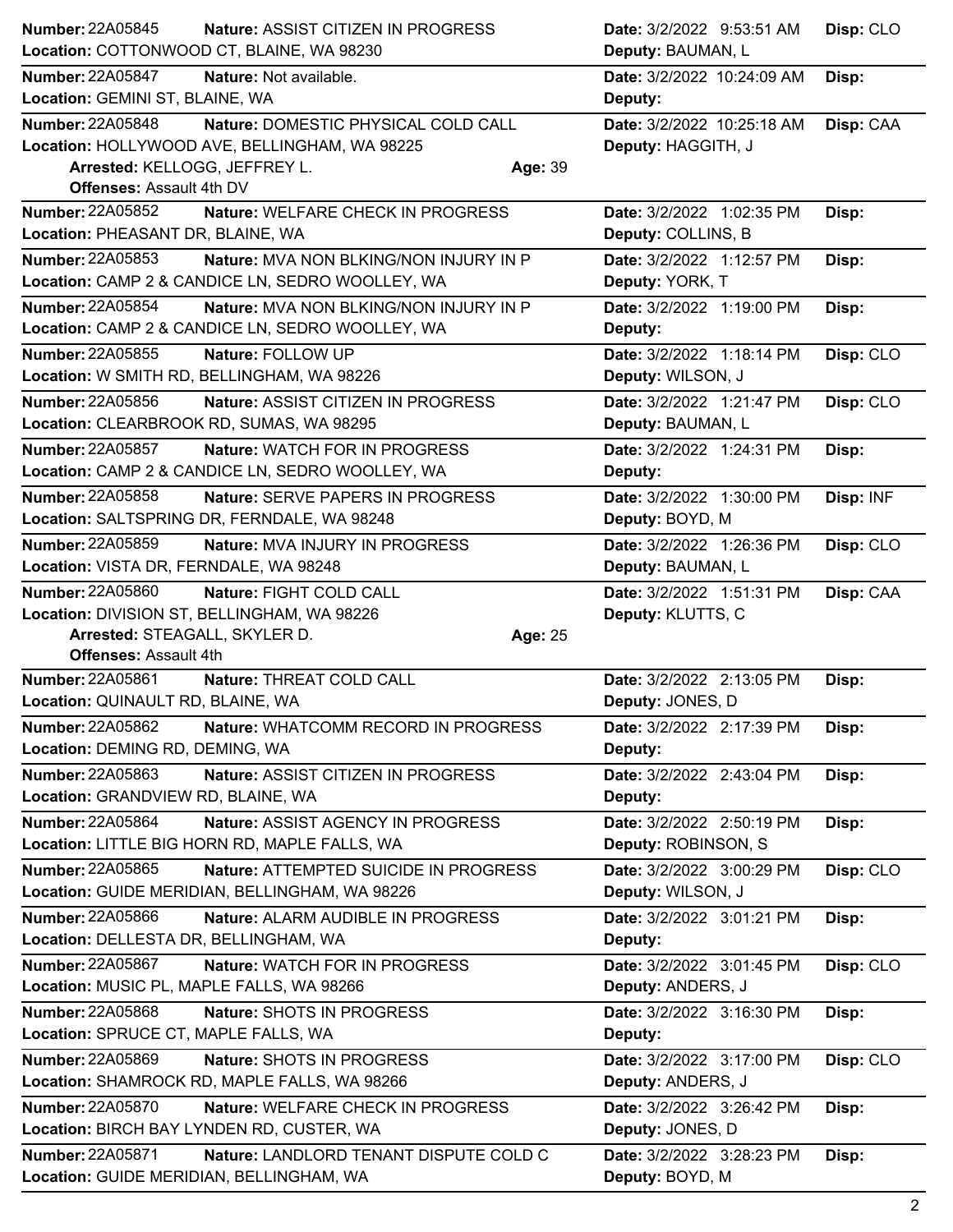| Location: COTTONWOOD CT, BLAINE, WA 98230<br>Deputy: BAUMAN, L<br>Nature: Not available.<br>Date: 3/2/2022 10:24:09 AM<br>Disp:<br>Location: GEMINI ST, BLAINE, WA<br>Deputy:<br>Nature: DOMESTIC PHYSICAL COLD CALL<br>Date: 3/2/2022 10:25:18 AM<br>Disp: CAA<br>Location: HOLLYWOOD AVE, BELLINGHAM, WA 98225<br>Deputy: HAGGITH, J<br>Arrested: KELLOGG, JEFFREY L.<br>Age: 39<br>Offenses: Assault 4th DV<br>Nature: WELFARE CHECK IN PROGRESS<br>Date: 3/2/2022 1:02:35 PM<br>Disp:<br>Location: PHEASANT DR, BLAINE, WA<br>Deputy: COLLINS, B<br>Nature: MVA NON BLKING/NON INJURY IN P<br>Date: 3/2/2022 1:12:57 PM<br>Disp:<br>Location: CAMP 2 & CANDICE LN, SEDRO WOOLLEY, WA<br>Deputy: YORK, T<br>Nature: MVA NON BLKING/NON INJURY IN P<br>Date: 3/2/2022 1:19:00 PM<br>Disp:<br>Location: CAMP 2 & CANDICE LN, SEDRO WOOLLEY, WA<br>Deputy:<br>Number: 22A05855<br>Nature: FOLLOW UP<br>Disp: CLO<br>Date: 3/2/2022 1:18:14 PM<br>Location: W SMITH RD, BELLINGHAM, WA 98226<br>Deputy: WILSON, J<br>Number: 22A05856<br>Disp: CLO<br>Nature: ASSIST CITIZEN IN PROGRESS<br>Date: 3/2/2022 1:21:47 PM<br>Location: CLEARBROOK RD, SUMAS, WA 98295<br>Deputy: BAUMAN, L<br><b>Number: 22A05857</b><br><b>Nature: WATCH FOR IN PROGRESS</b><br>Date: 3/2/2022 1:24:31 PM<br>Disp:<br>Location: CAMP 2 & CANDICE LN, SEDRO WOOLLEY, WA<br>Deputy:<br>Nature: SERVE PAPERS IN PROGRESS<br>Date: 3/2/2022 1:30:00 PM<br>Disp: INF<br>Location: SALTSPRING DR, FERNDALE, WA 98248<br>Deputy: BOYD, M<br><b>Number: 22A05859</b><br>Nature: MVA INJURY IN PROGRESS<br>Date: 3/2/2022 1:26:36 PM<br>Disp: CLO<br>Location: VISTA DR, FERNDALE, WA 98248<br>Deputy: BAUMAN, L<br><b>Number: 22A05860</b><br>Nature: FIGHT COLD CALL<br>Date: 3/2/2022 1:51:31 PM<br>Disp: CAA<br>Location: DIVISION ST, BELLINGHAM, WA 98226<br>Deputy: KLUTTS, C<br>Arrested: STEAGALL, SKYLER D.<br>Age: 25<br><b>Offenses: Assault 4th</b><br>Nature: THREAT COLD CALL<br>Date: 3/2/2022 2:13:05 PM<br>Disp:<br>Location: QUINAULT RD, BLAINE, WA<br>Deputy: JONES, D<br>Number: 22A05862<br>Nature: WHATCOMM RECORD IN PROGRESS<br>Date: 3/2/2022 2:17:39 PM<br>Disp:<br>Location: DEMING RD, DEMING, WA<br>Deputy:<br>Number: 22A05863<br>Nature: ASSIST CITIZEN IN PROGRESS<br>Disp:<br>Date: 3/2/2022 2:43:04 PM<br>Location: GRANDVIEW RD, BLAINE, WA<br>Deputy:<br>Nature: ASSIST AGENCY IN PROGRESS<br>Date: 3/2/2022 2:50:19 PM<br>Disp:<br>Location: LITTLE BIG HORN RD, MAPLE FALLS, WA<br>Deputy: ROBINSON, S<br>Number: 22A05865<br>Nature: ATTEMPTED SUICIDE IN PROGRESS<br>Date: 3/2/2022 3:00:29 PM<br>Disp: CLO<br>Location: GUIDE MERIDIAN, BELLINGHAM, WA 98226<br>Deputy: WILSON, J<br>Number: 22A05866<br>Nature: ALARM AUDIBLE IN PROGRESS<br>Date: 3/2/2022 3:01:21 PM<br>Disp:<br>Location: DELLESTA DR, BELLINGHAM, WA<br>Deputy:<br><b>Number: 22A05867</b><br>Nature: WATCH FOR IN PROGRESS<br>Disp: CLO<br>Date: 3/2/2022 3:01:45 PM<br>Location: MUSIC PL, MAPLE FALLS, WA 98266<br>Deputy: ANDERS, J<br>Number: 22A05868<br>Nature: SHOTS IN PROGRESS<br>Date: 3/2/2022 3:16:30 PM<br>Disp:<br>Location: SPRUCE CT, MAPLE FALLS, WA<br>Deputy:<br>Number: 22A05869<br>Nature: SHOTS IN PROGRESS<br>Date: 3/2/2022 3:17:00 PM<br>Disp: CLO<br>Location: SHAMROCK RD, MAPLE FALLS, WA 98266<br>Deputy: ANDERS, J<br><b>Number: 22A05870</b><br>Nature: WELFARE CHECK IN PROGRESS<br>Date: 3/2/2022 3:26:42 PM<br>Disp:<br>Location: BIRCH BAY LYNDEN RD, CUSTER, WA<br>Deputy: JONES, D<br>Nature: LANDLORD TENANT DISPUTE COLD C<br>Date: 3/2/2022 3:28:23 PM<br>Disp:<br>Deputy: BOYD, M<br>Location: GUIDE MERIDIAN, BELLINGHAM, WA | Number: 22A05845        | Nature: ASSIST CITIZEN IN PROGRESS | Date: 3/2/2022 9:53:51 AM | Disp: CLO |
|------------------------------------------------------------------------------------------------------------------------------------------------------------------------------------------------------------------------------------------------------------------------------------------------------------------------------------------------------------------------------------------------------------------------------------------------------------------------------------------------------------------------------------------------------------------------------------------------------------------------------------------------------------------------------------------------------------------------------------------------------------------------------------------------------------------------------------------------------------------------------------------------------------------------------------------------------------------------------------------------------------------------------------------------------------------------------------------------------------------------------------------------------------------------------------------------------------------------------------------------------------------------------------------------------------------------------------------------------------------------------------------------------------------------------------------------------------------------------------------------------------------------------------------------------------------------------------------------------------------------------------------------------------------------------------------------------------------------------------------------------------------------------------------------------------------------------------------------------------------------------------------------------------------------------------------------------------------------------------------------------------------------------------------------------------------------------------------------------------------------------------------------------------------------------------------------------------------------------------------------------------------------------------------------------------------------------------------------------------------------------------------------------------------------------------------------------------------------------------------------------------------------------------------------------------------------------------------------------------------------------------------------------------------------------------------------------------------------------------------------------------------------------------------------------------------------------------------------------------------------------------------------------------------------------------------------------------------------------------------------------------------------------------------------------------------------------------------------------------------------------------------------------------------------------------------------------------------------------------------------------------------------------------------------------------------------------------------------------------------------------------------------------------------------------------------------------------------------------------------------------------------------------------------------------------------------------------------------------------------------------------------------------------|-------------------------|------------------------------------|---------------------------|-----------|
|                                                                                                                                                                                                                                                                                                                                                                                                                                                                                                                                                                                                                                                                                                                                                                                                                                                                                                                                                                                                                                                                                                                                                                                                                                                                                                                                                                                                                                                                                                                                                                                                                                                                                                                                                                                                                                                                                                                                                                                                                                                                                                                                                                                                                                                                                                                                                                                                                                                                                                                                                                                                                                                                                                                                                                                                                                                                                                                                                                                                                                                                                                                                                                                                                                                                                                                                                                                                                                                                                                                                                                                                                                                            |                         |                                    |                           |           |
|                                                                                                                                                                                                                                                                                                                                                                                                                                                                                                                                                                                                                                                                                                                                                                                                                                                                                                                                                                                                                                                                                                                                                                                                                                                                                                                                                                                                                                                                                                                                                                                                                                                                                                                                                                                                                                                                                                                                                                                                                                                                                                                                                                                                                                                                                                                                                                                                                                                                                                                                                                                                                                                                                                                                                                                                                                                                                                                                                                                                                                                                                                                                                                                                                                                                                                                                                                                                                                                                                                                                                                                                                                                            | <b>Number: 22A05847</b> |                                    |                           |           |
|                                                                                                                                                                                                                                                                                                                                                                                                                                                                                                                                                                                                                                                                                                                                                                                                                                                                                                                                                                                                                                                                                                                                                                                                                                                                                                                                                                                                                                                                                                                                                                                                                                                                                                                                                                                                                                                                                                                                                                                                                                                                                                                                                                                                                                                                                                                                                                                                                                                                                                                                                                                                                                                                                                                                                                                                                                                                                                                                                                                                                                                                                                                                                                                                                                                                                                                                                                                                                                                                                                                                                                                                                                                            |                         |                                    |                           |           |
|                                                                                                                                                                                                                                                                                                                                                                                                                                                                                                                                                                                                                                                                                                                                                                                                                                                                                                                                                                                                                                                                                                                                                                                                                                                                                                                                                                                                                                                                                                                                                                                                                                                                                                                                                                                                                                                                                                                                                                                                                                                                                                                                                                                                                                                                                                                                                                                                                                                                                                                                                                                                                                                                                                                                                                                                                                                                                                                                                                                                                                                                                                                                                                                                                                                                                                                                                                                                                                                                                                                                                                                                                                                            | <b>Number: 22A05848</b> |                                    |                           |           |
|                                                                                                                                                                                                                                                                                                                                                                                                                                                                                                                                                                                                                                                                                                                                                                                                                                                                                                                                                                                                                                                                                                                                                                                                                                                                                                                                                                                                                                                                                                                                                                                                                                                                                                                                                                                                                                                                                                                                                                                                                                                                                                                                                                                                                                                                                                                                                                                                                                                                                                                                                                                                                                                                                                                                                                                                                                                                                                                                                                                                                                                                                                                                                                                                                                                                                                                                                                                                                                                                                                                                                                                                                                                            |                         |                                    |                           |           |
|                                                                                                                                                                                                                                                                                                                                                                                                                                                                                                                                                                                                                                                                                                                                                                                                                                                                                                                                                                                                                                                                                                                                                                                                                                                                                                                                                                                                                                                                                                                                                                                                                                                                                                                                                                                                                                                                                                                                                                                                                                                                                                                                                                                                                                                                                                                                                                                                                                                                                                                                                                                                                                                                                                                                                                                                                                                                                                                                                                                                                                                                                                                                                                                                                                                                                                                                                                                                                                                                                                                                                                                                                                                            |                         |                                    |                           |           |
|                                                                                                                                                                                                                                                                                                                                                                                                                                                                                                                                                                                                                                                                                                                                                                                                                                                                                                                                                                                                                                                                                                                                                                                                                                                                                                                                                                                                                                                                                                                                                                                                                                                                                                                                                                                                                                                                                                                                                                                                                                                                                                                                                                                                                                                                                                                                                                                                                                                                                                                                                                                                                                                                                                                                                                                                                                                                                                                                                                                                                                                                                                                                                                                                                                                                                                                                                                                                                                                                                                                                                                                                                                                            |                         |                                    |                           |           |
|                                                                                                                                                                                                                                                                                                                                                                                                                                                                                                                                                                                                                                                                                                                                                                                                                                                                                                                                                                                                                                                                                                                                                                                                                                                                                                                                                                                                                                                                                                                                                                                                                                                                                                                                                                                                                                                                                                                                                                                                                                                                                                                                                                                                                                                                                                                                                                                                                                                                                                                                                                                                                                                                                                                                                                                                                                                                                                                                                                                                                                                                                                                                                                                                                                                                                                                                                                                                                                                                                                                                                                                                                                                            | <b>Number: 22A05852</b> |                                    |                           |           |
|                                                                                                                                                                                                                                                                                                                                                                                                                                                                                                                                                                                                                                                                                                                                                                                                                                                                                                                                                                                                                                                                                                                                                                                                                                                                                                                                                                                                                                                                                                                                                                                                                                                                                                                                                                                                                                                                                                                                                                                                                                                                                                                                                                                                                                                                                                                                                                                                                                                                                                                                                                                                                                                                                                                                                                                                                                                                                                                                                                                                                                                                                                                                                                                                                                                                                                                                                                                                                                                                                                                                                                                                                                                            |                         |                                    |                           |           |
|                                                                                                                                                                                                                                                                                                                                                                                                                                                                                                                                                                                                                                                                                                                                                                                                                                                                                                                                                                                                                                                                                                                                                                                                                                                                                                                                                                                                                                                                                                                                                                                                                                                                                                                                                                                                                                                                                                                                                                                                                                                                                                                                                                                                                                                                                                                                                                                                                                                                                                                                                                                                                                                                                                                                                                                                                                                                                                                                                                                                                                                                                                                                                                                                                                                                                                                                                                                                                                                                                                                                                                                                                                                            | Number: 22A05853        |                                    |                           |           |
|                                                                                                                                                                                                                                                                                                                                                                                                                                                                                                                                                                                                                                                                                                                                                                                                                                                                                                                                                                                                                                                                                                                                                                                                                                                                                                                                                                                                                                                                                                                                                                                                                                                                                                                                                                                                                                                                                                                                                                                                                                                                                                                                                                                                                                                                                                                                                                                                                                                                                                                                                                                                                                                                                                                                                                                                                                                                                                                                                                                                                                                                                                                                                                                                                                                                                                                                                                                                                                                                                                                                                                                                                                                            |                         |                                    |                           |           |
|                                                                                                                                                                                                                                                                                                                                                                                                                                                                                                                                                                                                                                                                                                                                                                                                                                                                                                                                                                                                                                                                                                                                                                                                                                                                                                                                                                                                                                                                                                                                                                                                                                                                                                                                                                                                                                                                                                                                                                                                                                                                                                                                                                                                                                                                                                                                                                                                                                                                                                                                                                                                                                                                                                                                                                                                                                                                                                                                                                                                                                                                                                                                                                                                                                                                                                                                                                                                                                                                                                                                                                                                                                                            | Number: 22A05854        |                                    |                           |           |
|                                                                                                                                                                                                                                                                                                                                                                                                                                                                                                                                                                                                                                                                                                                                                                                                                                                                                                                                                                                                                                                                                                                                                                                                                                                                                                                                                                                                                                                                                                                                                                                                                                                                                                                                                                                                                                                                                                                                                                                                                                                                                                                                                                                                                                                                                                                                                                                                                                                                                                                                                                                                                                                                                                                                                                                                                                                                                                                                                                                                                                                                                                                                                                                                                                                                                                                                                                                                                                                                                                                                                                                                                                                            |                         |                                    |                           |           |
|                                                                                                                                                                                                                                                                                                                                                                                                                                                                                                                                                                                                                                                                                                                                                                                                                                                                                                                                                                                                                                                                                                                                                                                                                                                                                                                                                                                                                                                                                                                                                                                                                                                                                                                                                                                                                                                                                                                                                                                                                                                                                                                                                                                                                                                                                                                                                                                                                                                                                                                                                                                                                                                                                                                                                                                                                                                                                                                                                                                                                                                                                                                                                                                                                                                                                                                                                                                                                                                                                                                                                                                                                                                            |                         |                                    |                           |           |
|                                                                                                                                                                                                                                                                                                                                                                                                                                                                                                                                                                                                                                                                                                                                                                                                                                                                                                                                                                                                                                                                                                                                                                                                                                                                                                                                                                                                                                                                                                                                                                                                                                                                                                                                                                                                                                                                                                                                                                                                                                                                                                                                                                                                                                                                                                                                                                                                                                                                                                                                                                                                                                                                                                                                                                                                                                                                                                                                                                                                                                                                                                                                                                                                                                                                                                                                                                                                                                                                                                                                                                                                                                                            |                         |                                    |                           |           |
|                                                                                                                                                                                                                                                                                                                                                                                                                                                                                                                                                                                                                                                                                                                                                                                                                                                                                                                                                                                                                                                                                                                                                                                                                                                                                                                                                                                                                                                                                                                                                                                                                                                                                                                                                                                                                                                                                                                                                                                                                                                                                                                                                                                                                                                                                                                                                                                                                                                                                                                                                                                                                                                                                                                                                                                                                                                                                                                                                                                                                                                                                                                                                                                                                                                                                                                                                                                                                                                                                                                                                                                                                                                            |                         |                                    |                           |           |
|                                                                                                                                                                                                                                                                                                                                                                                                                                                                                                                                                                                                                                                                                                                                                                                                                                                                                                                                                                                                                                                                                                                                                                                                                                                                                                                                                                                                                                                                                                                                                                                                                                                                                                                                                                                                                                                                                                                                                                                                                                                                                                                                                                                                                                                                                                                                                                                                                                                                                                                                                                                                                                                                                                                                                                                                                                                                                                                                                                                                                                                                                                                                                                                                                                                                                                                                                                                                                                                                                                                                                                                                                                                            |                         |                                    |                           |           |
|                                                                                                                                                                                                                                                                                                                                                                                                                                                                                                                                                                                                                                                                                                                                                                                                                                                                                                                                                                                                                                                                                                                                                                                                                                                                                                                                                                                                                                                                                                                                                                                                                                                                                                                                                                                                                                                                                                                                                                                                                                                                                                                                                                                                                                                                                                                                                                                                                                                                                                                                                                                                                                                                                                                                                                                                                                                                                                                                                                                                                                                                                                                                                                                                                                                                                                                                                                                                                                                                                                                                                                                                                                                            |                         |                                    |                           |           |
|                                                                                                                                                                                                                                                                                                                                                                                                                                                                                                                                                                                                                                                                                                                                                                                                                                                                                                                                                                                                                                                                                                                                                                                                                                                                                                                                                                                                                                                                                                                                                                                                                                                                                                                                                                                                                                                                                                                                                                                                                                                                                                                                                                                                                                                                                                                                                                                                                                                                                                                                                                                                                                                                                                                                                                                                                                                                                                                                                                                                                                                                                                                                                                                                                                                                                                                                                                                                                                                                                                                                                                                                                                                            |                         |                                    |                           |           |
|                                                                                                                                                                                                                                                                                                                                                                                                                                                                                                                                                                                                                                                                                                                                                                                                                                                                                                                                                                                                                                                                                                                                                                                                                                                                                                                                                                                                                                                                                                                                                                                                                                                                                                                                                                                                                                                                                                                                                                                                                                                                                                                                                                                                                                                                                                                                                                                                                                                                                                                                                                                                                                                                                                                                                                                                                                                                                                                                                                                                                                                                                                                                                                                                                                                                                                                                                                                                                                                                                                                                                                                                                                                            | <b>Number: 22A05858</b> |                                    |                           |           |
|                                                                                                                                                                                                                                                                                                                                                                                                                                                                                                                                                                                                                                                                                                                                                                                                                                                                                                                                                                                                                                                                                                                                                                                                                                                                                                                                                                                                                                                                                                                                                                                                                                                                                                                                                                                                                                                                                                                                                                                                                                                                                                                                                                                                                                                                                                                                                                                                                                                                                                                                                                                                                                                                                                                                                                                                                                                                                                                                                                                                                                                                                                                                                                                                                                                                                                                                                                                                                                                                                                                                                                                                                                                            |                         |                                    |                           |           |
|                                                                                                                                                                                                                                                                                                                                                                                                                                                                                                                                                                                                                                                                                                                                                                                                                                                                                                                                                                                                                                                                                                                                                                                                                                                                                                                                                                                                                                                                                                                                                                                                                                                                                                                                                                                                                                                                                                                                                                                                                                                                                                                                                                                                                                                                                                                                                                                                                                                                                                                                                                                                                                                                                                                                                                                                                                                                                                                                                                                                                                                                                                                                                                                                                                                                                                                                                                                                                                                                                                                                                                                                                                                            |                         |                                    |                           |           |
|                                                                                                                                                                                                                                                                                                                                                                                                                                                                                                                                                                                                                                                                                                                                                                                                                                                                                                                                                                                                                                                                                                                                                                                                                                                                                                                                                                                                                                                                                                                                                                                                                                                                                                                                                                                                                                                                                                                                                                                                                                                                                                                                                                                                                                                                                                                                                                                                                                                                                                                                                                                                                                                                                                                                                                                                                                                                                                                                                                                                                                                                                                                                                                                                                                                                                                                                                                                                                                                                                                                                                                                                                                                            |                         |                                    |                           |           |
|                                                                                                                                                                                                                                                                                                                                                                                                                                                                                                                                                                                                                                                                                                                                                                                                                                                                                                                                                                                                                                                                                                                                                                                                                                                                                                                                                                                                                                                                                                                                                                                                                                                                                                                                                                                                                                                                                                                                                                                                                                                                                                                                                                                                                                                                                                                                                                                                                                                                                                                                                                                                                                                                                                                                                                                                                                                                                                                                                                                                                                                                                                                                                                                                                                                                                                                                                                                                                                                                                                                                                                                                                                                            |                         |                                    |                           |           |
|                                                                                                                                                                                                                                                                                                                                                                                                                                                                                                                                                                                                                                                                                                                                                                                                                                                                                                                                                                                                                                                                                                                                                                                                                                                                                                                                                                                                                                                                                                                                                                                                                                                                                                                                                                                                                                                                                                                                                                                                                                                                                                                                                                                                                                                                                                                                                                                                                                                                                                                                                                                                                                                                                                                                                                                                                                                                                                                                                                                                                                                                                                                                                                                                                                                                                                                                                                                                                                                                                                                                                                                                                                                            |                         |                                    |                           |           |
|                                                                                                                                                                                                                                                                                                                                                                                                                                                                                                                                                                                                                                                                                                                                                                                                                                                                                                                                                                                                                                                                                                                                                                                                                                                                                                                                                                                                                                                                                                                                                                                                                                                                                                                                                                                                                                                                                                                                                                                                                                                                                                                                                                                                                                                                                                                                                                                                                                                                                                                                                                                                                                                                                                                                                                                                                                                                                                                                                                                                                                                                                                                                                                                                                                                                                                                                                                                                                                                                                                                                                                                                                                                            |                         |                                    |                           |           |
|                                                                                                                                                                                                                                                                                                                                                                                                                                                                                                                                                                                                                                                                                                                                                                                                                                                                                                                                                                                                                                                                                                                                                                                                                                                                                                                                                                                                                                                                                                                                                                                                                                                                                                                                                                                                                                                                                                                                                                                                                                                                                                                                                                                                                                                                                                                                                                                                                                                                                                                                                                                                                                                                                                                                                                                                                                                                                                                                                                                                                                                                                                                                                                                                                                                                                                                                                                                                                                                                                                                                                                                                                                                            |                         |                                    |                           |           |
|                                                                                                                                                                                                                                                                                                                                                                                                                                                                                                                                                                                                                                                                                                                                                                                                                                                                                                                                                                                                                                                                                                                                                                                                                                                                                                                                                                                                                                                                                                                                                                                                                                                                                                                                                                                                                                                                                                                                                                                                                                                                                                                                                                                                                                                                                                                                                                                                                                                                                                                                                                                                                                                                                                                                                                                                                                                                                                                                                                                                                                                                                                                                                                                                                                                                                                                                                                                                                                                                                                                                                                                                                                                            | <b>Number: 22A05861</b> |                                    |                           |           |
|                                                                                                                                                                                                                                                                                                                                                                                                                                                                                                                                                                                                                                                                                                                                                                                                                                                                                                                                                                                                                                                                                                                                                                                                                                                                                                                                                                                                                                                                                                                                                                                                                                                                                                                                                                                                                                                                                                                                                                                                                                                                                                                                                                                                                                                                                                                                                                                                                                                                                                                                                                                                                                                                                                                                                                                                                                                                                                                                                                                                                                                                                                                                                                                                                                                                                                                                                                                                                                                                                                                                                                                                                                                            |                         |                                    |                           |           |
|                                                                                                                                                                                                                                                                                                                                                                                                                                                                                                                                                                                                                                                                                                                                                                                                                                                                                                                                                                                                                                                                                                                                                                                                                                                                                                                                                                                                                                                                                                                                                                                                                                                                                                                                                                                                                                                                                                                                                                                                                                                                                                                                                                                                                                                                                                                                                                                                                                                                                                                                                                                                                                                                                                                                                                                                                                                                                                                                                                                                                                                                                                                                                                                                                                                                                                                                                                                                                                                                                                                                                                                                                                                            |                         |                                    |                           |           |
|                                                                                                                                                                                                                                                                                                                                                                                                                                                                                                                                                                                                                                                                                                                                                                                                                                                                                                                                                                                                                                                                                                                                                                                                                                                                                                                                                                                                                                                                                                                                                                                                                                                                                                                                                                                                                                                                                                                                                                                                                                                                                                                                                                                                                                                                                                                                                                                                                                                                                                                                                                                                                                                                                                                                                                                                                                                                                                                                                                                                                                                                                                                                                                                                                                                                                                                                                                                                                                                                                                                                                                                                                                                            |                         |                                    |                           |           |
|                                                                                                                                                                                                                                                                                                                                                                                                                                                                                                                                                                                                                                                                                                                                                                                                                                                                                                                                                                                                                                                                                                                                                                                                                                                                                                                                                                                                                                                                                                                                                                                                                                                                                                                                                                                                                                                                                                                                                                                                                                                                                                                                                                                                                                                                                                                                                                                                                                                                                                                                                                                                                                                                                                                                                                                                                                                                                                                                                                                                                                                                                                                                                                                                                                                                                                                                                                                                                                                                                                                                                                                                                                                            |                         |                                    |                           |           |
|                                                                                                                                                                                                                                                                                                                                                                                                                                                                                                                                                                                                                                                                                                                                                                                                                                                                                                                                                                                                                                                                                                                                                                                                                                                                                                                                                                                                                                                                                                                                                                                                                                                                                                                                                                                                                                                                                                                                                                                                                                                                                                                                                                                                                                                                                                                                                                                                                                                                                                                                                                                                                                                                                                                                                                                                                                                                                                                                                                                                                                                                                                                                                                                                                                                                                                                                                                                                                                                                                                                                                                                                                                                            |                         |                                    |                           |           |
|                                                                                                                                                                                                                                                                                                                                                                                                                                                                                                                                                                                                                                                                                                                                                                                                                                                                                                                                                                                                                                                                                                                                                                                                                                                                                                                                                                                                                                                                                                                                                                                                                                                                                                                                                                                                                                                                                                                                                                                                                                                                                                                                                                                                                                                                                                                                                                                                                                                                                                                                                                                                                                                                                                                                                                                                                                                                                                                                                                                                                                                                                                                                                                                                                                                                                                                                                                                                                                                                                                                                                                                                                                                            | Number: 22A05864        |                                    |                           |           |
|                                                                                                                                                                                                                                                                                                                                                                                                                                                                                                                                                                                                                                                                                                                                                                                                                                                                                                                                                                                                                                                                                                                                                                                                                                                                                                                                                                                                                                                                                                                                                                                                                                                                                                                                                                                                                                                                                                                                                                                                                                                                                                                                                                                                                                                                                                                                                                                                                                                                                                                                                                                                                                                                                                                                                                                                                                                                                                                                                                                                                                                                                                                                                                                                                                                                                                                                                                                                                                                                                                                                                                                                                                                            |                         |                                    |                           |           |
|                                                                                                                                                                                                                                                                                                                                                                                                                                                                                                                                                                                                                                                                                                                                                                                                                                                                                                                                                                                                                                                                                                                                                                                                                                                                                                                                                                                                                                                                                                                                                                                                                                                                                                                                                                                                                                                                                                                                                                                                                                                                                                                                                                                                                                                                                                                                                                                                                                                                                                                                                                                                                                                                                                                                                                                                                                                                                                                                                                                                                                                                                                                                                                                                                                                                                                                                                                                                                                                                                                                                                                                                                                                            |                         |                                    |                           |           |
|                                                                                                                                                                                                                                                                                                                                                                                                                                                                                                                                                                                                                                                                                                                                                                                                                                                                                                                                                                                                                                                                                                                                                                                                                                                                                                                                                                                                                                                                                                                                                                                                                                                                                                                                                                                                                                                                                                                                                                                                                                                                                                                                                                                                                                                                                                                                                                                                                                                                                                                                                                                                                                                                                                                                                                                                                                                                                                                                                                                                                                                                                                                                                                                                                                                                                                                                                                                                                                                                                                                                                                                                                                                            |                         |                                    |                           |           |
|                                                                                                                                                                                                                                                                                                                                                                                                                                                                                                                                                                                                                                                                                                                                                                                                                                                                                                                                                                                                                                                                                                                                                                                                                                                                                                                                                                                                                                                                                                                                                                                                                                                                                                                                                                                                                                                                                                                                                                                                                                                                                                                                                                                                                                                                                                                                                                                                                                                                                                                                                                                                                                                                                                                                                                                                                                                                                                                                                                                                                                                                                                                                                                                                                                                                                                                                                                                                                                                                                                                                                                                                                                                            |                         |                                    |                           |           |
|                                                                                                                                                                                                                                                                                                                                                                                                                                                                                                                                                                                                                                                                                                                                                                                                                                                                                                                                                                                                                                                                                                                                                                                                                                                                                                                                                                                                                                                                                                                                                                                                                                                                                                                                                                                                                                                                                                                                                                                                                                                                                                                                                                                                                                                                                                                                                                                                                                                                                                                                                                                                                                                                                                                                                                                                                                                                                                                                                                                                                                                                                                                                                                                                                                                                                                                                                                                                                                                                                                                                                                                                                                                            |                         |                                    |                           |           |
|                                                                                                                                                                                                                                                                                                                                                                                                                                                                                                                                                                                                                                                                                                                                                                                                                                                                                                                                                                                                                                                                                                                                                                                                                                                                                                                                                                                                                                                                                                                                                                                                                                                                                                                                                                                                                                                                                                                                                                                                                                                                                                                                                                                                                                                                                                                                                                                                                                                                                                                                                                                                                                                                                                                                                                                                                                                                                                                                                                                                                                                                                                                                                                                                                                                                                                                                                                                                                                                                                                                                                                                                                                                            |                         |                                    |                           |           |
|                                                                                                                                                                                                                                                                                                                                                                                                                                                                                                                                                                                                                                                                                                                                                                                                                                                                                                                                                                                                                                                                                                                                                                                                                                                                                                                                                                                                                                                                                                                                                                                                                                                                                                                                                                                                                                                                                                                                                                                                                                                                                                                                                                                                                                                                                                                                                                                                                                                                                                                                                                                                                                                                                                                                                                                                                                                                                                                                                                                                                                                                                                                                                                                                                                                                                                                                                                                                                                                                                                                                                                                                                                                            |                         |                                    |                           |           |
|                                                                                                                                                                                                                                                                                                                                                                                                                                                                                                                                                                                                                                                                                                                                                                                                                                                                                                                                                                                                                                                                                                                                                                                                                                                                                                                                                                                                                                                                                                                                                                                                                                                                                                                                                                                                                                                                                                                                                                                                                                                                                                                                                                                                                                                                                                                                                                                                                                                                                                                                                                                                                                                                                                                                                                                                                                                                                                                                                                                                                                                                                                                                                                                                                                                                                                                                                                                                                                                                                                                                                                                                                                                            |                         |                                    |                           |           |
|                                                                                                                                                                                                                                                                                                                                                                                                                                                                                                                                                                                                                                                                                                                                                                                                                                                                                                                                                                                                                                                                                                                                                                                                                                                                                                                                                                                                                                                                                                                                                                                                                                                                                                                                                                                                                                                                                                                                                                                                                                                                                                                                                                                                                                                                                                                                                                                                                                                                                                                                                                                                                                                                                                                                                                                                                                                                                                                                                                                                                                                                                                                                                                                                                                                                                                                                                                                                                                                                                                                                                                                                                                                            |                         |                                    |                           |           |
|                                                                                                                                                                                                                                                                                                                                                                                                                                                                                                                                                                                                                                                                                                                                                                                                                                                                                                                                                                                                                                                                                                                                                                                                                                                                                                                                                                                                                                                                                                                                                                                                                                                                                                                                                                                                                                                                                                                                                                                                                                                                                                                                                                                                                                                                                                                                                                                                                                                                                                                                                                                                                                                                                                                                                                                                                                                                                                                                                                                                                                                                                                                                                                                                                                                                                                                                                                                                                                                                                                                                                                                                                                                            |                         |                                    |                           |           |
|                                                                                                                                                                                                                                                                                                                                                                                                                                                                                                                                                                                                                                                                                                                                                                                                                                                                                                                                                                                                                                                                                                                                                                                                                                                                                                                                                                                                                                                                                                                                                                                                                                                                                                                                                                                                                                                                                                                                                                                                                                                                                                                                                                                                                                                                                                                                                                                                                                                                                                                                                                                                                                                                                                                                                                                                                                                                                                                                                                                                                                                                                                                                                                                                                                                                                                                                                                                                                                                                                                                                                                                                                                                            |                         |                                    |                           |           |
|                                                                                                                                                                                                                                                                                                                                                                                                                                                                                                                                                                                                                                                                                                                                                                                                                                                                                                                                                                                                                                                                                                                                                                                                                                                                                                                                                                                                                                                                                                                                                                                                                                                                                                                                                                                                                                                                                                                                                                                                                                                                                                                                                                                                                                                                                                                                                                                                                                                                                                                                                                                                                                                                                                                                                                                                                                                                                                                                                                                                                                                                                                                                                                                                                                                                                                                                                                                                                                                                                                                                                                                                                                                            |                         |                                    |                           |           |
|                                                                                                                                                                                                                                                                                                                                                                                                                                                                                                                                                                                                                                                                                                                                                                                                                                                                                                                                                                                                                                                                                                                                                                                                                                                                                                                                                                                                                                                                                                                                                                                                                                                                                                                                                                                                                                                                                                                                                                                                                                                                                                                                                                                                                                                                                                                                                                                                                                                                                                                                                                                                                                                                                                                                                                                                                                                                                                                                                                                                                                                                                                                                                                                                                                                                                                                                                                                                                                                                                                                                                                                                                                                            |                         |                                    |                           |           |
|                                                                                                                                                                                                                                                                                                                                                                                                                                                                                                                                                                                                                                                                                                                                                                                                                                                                                                                                                                                                                                                                                                                                                                                                                                                                                                                                                                                                                                                                                                                                                                                                                                                                                                                                                                                                                                                                                                                                                                                                                                                                                                                                                                                                                                                                                                                                                                                                                                                                                                                                                                                                                                                                                                                                                                                                                                                                                                                                                                                                                                                                                                                                                                                                                                                                                                                                                                                                                                                                                                                                                                                                                                                            |                         |                                    |                           |           |
|                                                                                                                                                                                                                                                                                                                                                                                                                                                                                                                                                                                                                                                                                                                                                                                                                                                                                                                                                                                                                                                                                                                                                                                                                                                                                                                                                                                                                                                                                                                                                                                                                                                                                                                                                                                                                                                                                                                                                                                                                                                                                                                                                                                                                                                                                                                                                                                                                                                                                                                                                                                                                                                                                                                                                                                                                                                                                                                                                                                                                                                                                                                                                                                                                                                                                                                                                                                                                                                                                                                                                                                                                                                            | Number: 22A05871        |                                    |                           |           |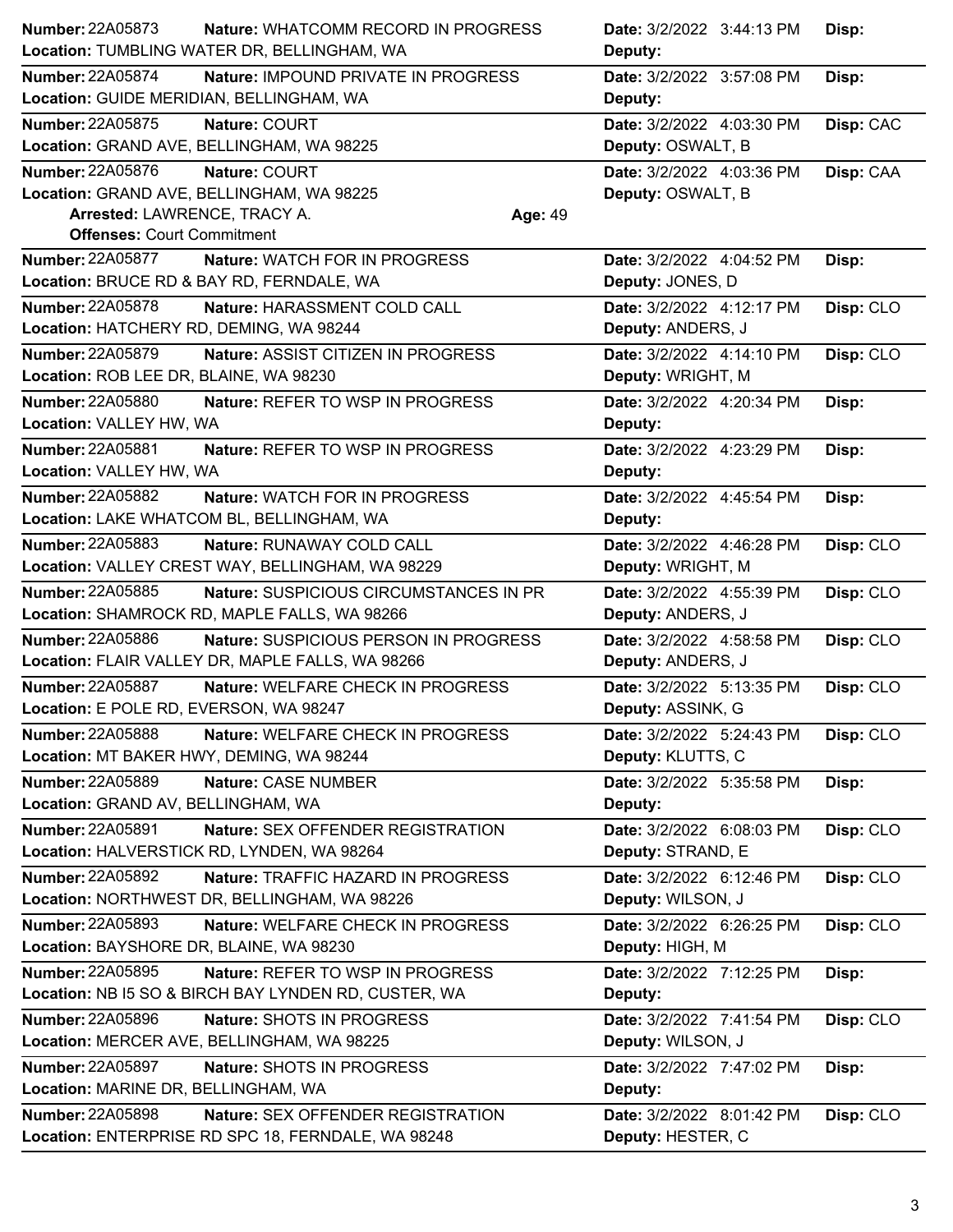| Number: 22A05873                          | Nature: WHATCOMM RECORD IN PROGRESS                  |         | Date: 3/2/2022 3:44:13 PM | Disp:     |
|-------------------------------------------|------------------------------------------------------|---------|---------------------------|-----------|
|                                           | Location: TUMBLING WATER DR, BELLINGHAM, WA          |         | Deputy:                   |           |
| <b>Number: 22A05874</b>                   | <b>Nature: IMPOUND PRIVATE IN PROGRESS</b>           |         | Date: 3/2/2022 3:57:08 PM | Disp:     |
| Location: GUIDE MERIDIAN, BELLINGHAM, WA  |                                                      |         | Deputy:                   |           |
| Number: 22A05875                          | Nature: COURT                                        |         | Date: 3/2/2022 4:03:30 PM | Disp: CAC |
| Location: GRAND AVE, BELLINGHAM, WA 98225 |                                                      |         | Deputy: OSWALT, B         |           |
| <b>Number: 22A05876</b>                   | Nature: COURT                                        |         | Date: 3/2/2022 4:03:36 PM | Disp: CAA |
| Location: GRAND AVE, BELLINGHAM, WA 98225 |                                                      |         | Deputy: OSWALT, B         |           |
| Arrested: LAWRENCE, TRACY A.              |                                                      | Age: 49 |                           |           |
| <b>Offenses: Court Commitment</b>         |                                                      |         |                           |           |
| <b>Number: 22A05877</b>                   | Nature: WATCH FOR IN PROGRESS                        |         | Date: 3/2/2022 4:04:52 PM | Disp:     |
|                                           | Location: BRUCE RD & BAY RD, FERNDALE, WA            |         | Deputy: JONES, D          |           |
| Number: 22A05878                          | Nature: HARASSMENT COLD CALL                         |         | Date: 3/2/2022 4:12:17 PM | Disp: CLO |
| Location: HATCHERY RD, DEMING, WA 98244   |                                                      |         | Deputy: ANDERS, J         |           |
| <b>Number: 22A05879</b>                   | <b>Nature: ASSIST CITIZEN IN PROGRESS</b>            |         | Date: 3/2/2022 4:14:10 PM | Disp: CLO |
| Location: ROB LEE DR, BLAINE, WA 98230    |                                                      |         | Deputy: WRIGHT, M         |           |
| <b>Number: 22A05880</b>                   | Nature: REFER TO WSP IN PROGRESS                     |         | Date: 3/2/2022 4:20:34 PM | Disp:     |
| Location: VALLEY HW, WA                   |                                                      |         | Deputy:                   |           |
| <b>Number: 22A05881</b>                   | Nature: REFER TO WSP IN PROGRESS                     |         | Date: 3/2/2022 4:23:29 PM | Disp:     |
| Location: VALLEY HW, WA                   |                                                      |         | Deputy:                   |           |
| <b>Number: 22A05882</b>                   | <b>Nature: WATCH FOR IN PROGRESS</b>                 |         | Date: 3/2/2022 4:45:54 PM | Disp:     |
|                                           | Location: LAKE WHATCOM BL, BELLINGHAM, WA            |         | Deputy:                   |           |
| <b>Number: 22A05883</b>                   | Nature: RUNAWAY COLD CALL                            |         | Date: 3/2/2022 4:46:28 PM | Disp: CLO |
|                                           | Location: VALLEY CREST WAY, BELLINGHAM, WA 98229     |         | Deputy: WRIGHT, M         |           |
| Number: 22A05885                          | Nature: SUSPICIOUS CIRCUMSTANCES IN PR               |         | Date: 3/2/2022 4:55:39 PM | Disp: CLO |
|                                           | Location: SHAMROCK RD, MAPLE FALLS, WA 98266         |         | Deputy: ANDERS, J         |           |
| Number: 22A05886                          | Nature: SUSPICIOUS PERSON IN PROGRESS                |         | Date: 3/2/2022 4:58:58 PM | Disp: CLO |
|                                           | Location: FLAIR VALLEY DR, MAPLE FALLS, WA 98266     |         | Deputy: ANDERS, J         |           |
| Number: 22A05887                          | Nature: WELFARE CHECK IN PROGRESS                    |         | Date: 3/2/2022 5:13:35 PM | Disp: CLO |
| Location: E POLE RD, EVERSON, WA 98247    |                                                      |         | Deputy: ASSINK, G         |           |
| Number: 22A05888                          | Nature: WELFARE CHECK IN PROGRESS                    |         | Date: 3/2/2022 5:24:43 PM | Disp: CLO |
| Location: MT BAKER HWY, DEMING, WA 98244  |                                                      |         | Deputy: KLUTTS, C         |           |
| Number: 22A05889                          | Nature: CASE NUMBER                                  |         | Date: 3/2/2022 5:35:58 PM | Disp:     |
| Location: GRAND AV, BELLINGHAM, WA        |                                                      |         | Deputy:                   |           |
| <b>Number: 22A05891</b>                   | Nature: SEX OFFENDER REGISTRATION                    |         | Date: 3/2/2022 6:08:03 PM | Disp: CLO |
|                                           | Location: HALVERSTICK RD, LYNDEN, WA 98264           |         | Deputy: STRAND, E         |           |
| <b>Number: 22A05892</b>                   | Nature: TRAFFIC HAZARD IN PROGRESS                   |         | Date: 3/2/2022 6:12:46 PM | Disp: CLO |
|                                           | Location: NORTHWEST DR, BELLINGHAM, WA 98226         |         | Deputy: WILSON, J         |           |
| <b>Number: 22A05893</b>                   | Nature: WELFARE CHECK IN PROGRESS                    |         | Date: 3/2/2022 6:26:25 PM | Disp: CLO |
| Location: BAYSHORE DR, BLAINE, WA 98230   |                                                      |         | Deputy: HIGH, M           |           |
| Number: 22A05895                          | Nature: REFER TO WSP IN PROGRESS                     |         | Date: 3/2/2022 7:12:25 PM | Disp:     |
|                                           | Location: NB I5 SO & BIRCH BAY LYNDEN RD, CUSTER, WA |         | Deputy:                   |           |
| Number: 22A05896                          | Nature: SHOTS IN PROGRESS                            |         | Date: 3/2/2022 7:41:54 PM | Disp: CLO |
|                                           | Location: MERCER AVE, BELLINGHAM, WA 98225           |         | Deputy: WILSON, J         |           |
| <b>Number: 22A05897</b>                   | Nature: SHOTS IN PROGRESS                            |         | Date: 3/2/2022 7:47:02 PM | Disp:     |
| Location: MARINE DR, BELLINGHAM, WA       |                                                      |         | Deputy:                   |           |
| <b>Number: 22A05898</b>                   | Nature: SEX OFFENDER REGISTRATION                    |         | Date: 3/2/2022 8:01:42 PM | Disp: CLO |
|                                           | Location: ENTERPRISE RD SPC 18, FERNDALE, WA 98248   |         | Deputy: HESTER, C         |           |